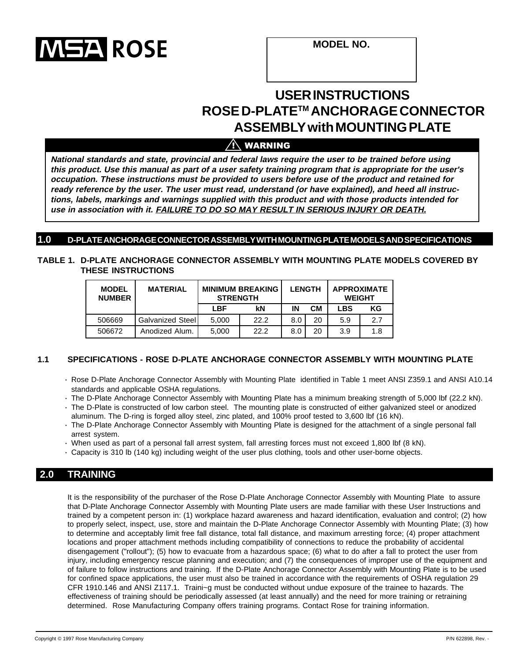

**MODEL NO.**

# **USER INSTRUCTIONS ROSE D-PLATETM ANCHORAGE CONNECTOR ASSEMBLY with MOUNTING PLATE**

### $/ \hat{ }$  warning

**National standards and state, provincial and federal laws require the user to be trained before using this product. Use this manual as part of a user safety training program that is appropriate for the user's occupation. These instructions must be provided to users before use of the product and retained for ready reference by the user. The user must read, understand (or have explained), and heed all instructions, labels, markings and warnings supplied with this product and with those products intended for use in association with it. FAILURE TO DO SO MAY RESULT IN SERIOUS INJURY OR DEATH.**

#### **1.0 D-PLATE ANCHORAGE CONNECTOR ASSEMBLY WITH MOUNTING PLATE MODELS AND SPECIFICATIONS**

#### **TABLE 1. D-PLATE ANCHORAGE CONNECTOR ASSEMBLY WITH MOUNTING PLATE MODELS COVERED BY THESE INSTRUCTIONS**

| <b>MODEL</b><br><b>NUMBER</b> | <b>MATERIAL</b>  | <b>MINIMUM BREAKING</b><br><b>STRENGTH</b> |      | <b>LENGTH</b> |           | <b>APPROXIMATE</b><br><b>WEIGHT</b> |     |
|-------------------------------|------------------|--------------------------------------------|------|---------------|-----------|-------------------------------------|-----|
|                               |                  | <b>LBF</b>                                 | kN   | ΙN            | <b>CM</b> | LBS                                 | KG  |
| 506669                        | Galvanized Steel | 5.000                                      | 22.2 | 8.0           | 20        | 5.9                                 | 2.7 |
| 506672                        | Anodized Alum.   | 5.000                                      | 22.2 | 8.0           | 20        | 3.9                                 | 1.8 |

#### **1.1 SPECIFICATIONS - ROSE D-PLATE ANCHORAGE CONNECTOR ASSEMBLY WITH MOUNTING PLATE**

- · Rose D-Plate Anchorage Connector Assembly with Mounting Plate identified in Table 1 meet ANSI Z359.1 and ANSI A10.14 standards and applicable OSHA regulations.
- · The D-Plate Anchorage Connector Assembly with Mounting Plate has a minimum breaking strength of 5,000 lbf (22.2 kN).
- · The D-Plate is constructed of low carbon steel. The mounting plate is constructed of either galvanized steel or anodized aluminum. The D-ring is forged alloy steel, zinc plated, and 100% proof tested to 3,600 lbf (16 kN).
- · The D-Plate Anchorage Connector Assembly with Mounting Plate is designed for the attachment of a single personal fall arrest system.
- · When used as part of a personal fall arrest system, fall arresting forces must not exceed 1,800 lbf (8 kN).
- · Capacity is 310 lb (140 kg) including weight of the user plus clothing, tools and other user-borne objects.

### **2.0 TRAINING**

It is the responsibility of the purchaser of the Rose D-Plate Anchorage Connector Assembly with Mounting Plate to assure that D-Plate Anchorage Connector Assembly with Mounting Plate users are made familiar with these User Instructions and trained by a competent person in: (1) workplace hazard awareness and hazard identification, evaluation and control; (2) how to properly select, inspect, use, store and maintain the D-Plate Anchorage Connector Assembly with Mounting Plate; (3) how to determine and acceptably limit free fall distance, total fall distance, and maximum arresting force; (4) proper attachment locations and proper attachment methods including compatibility of connections to reduce the probability of accidental disengagement ("rollout"); (5) how to evacuate from a hazardous space; (6) what to do after a fall to protect the user from injury, including emergency rescue planning and execution; and (7) the consequences of improper use of the equipment and of failure to follow instructions and training. If the D-Plate Anchorage Connector Assembly with Mounting Plate is to be used for confined space applications, the user must also be trained in accordance with the requirements of OSHA regulation 29 CFR 1910.146 and ANSI Z117.1. Traini~g must be conducted without undue exposure of the trainee to hazards. The effectiveness of training should be periodically assessed (at least annually) and the need for more training or retraining determined. Rose Manufacturing Company offers training programs. Contact Rose for training information.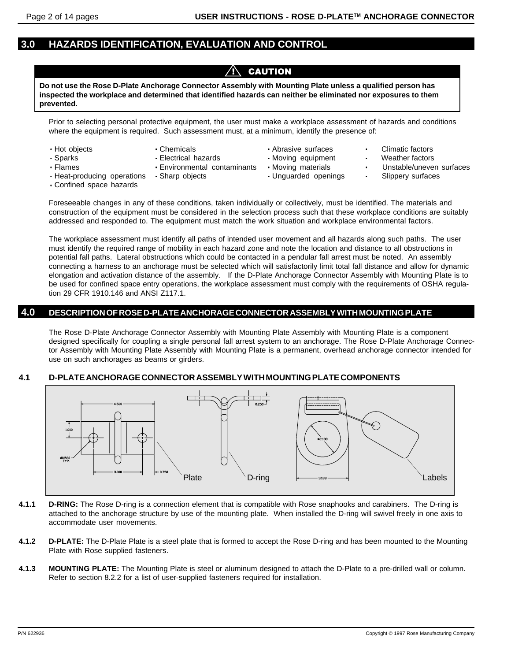### **3.0 HAZARDS IDENTIFICATION, EVALUATION AND CONTROL**

### $\sqrt{N}$  caution

**Do not use the Rose D-Plate Anchorage Connector Assembly with Mounting Plate unless a qualified person has inspected the workplace and determined that identified hazards can neither be eliminated nor exposures to them prevented.**

Prior to selecting personal protective equipment, the user must make a workplace assessment of hazards and conditions where the equipment is required. Such assessment must, at a minimum, identify the presence of:

- 
- 
- -
- · Flames · Environmental contaminants · Moving materials · Unstable/uneven surfaces<br>· Heat-producing operations · Sharp objects · Unguarded openings · Slippery surfaces
- Hot objects · Chemicals · Chemicals · Abrasive surfaces · Climatic factors
- Sparks · Clectrical hazards · Moving equipment · Weather factors
	-
	-
- 
- 
- 
- 
- $\cdot$  Heat-producing operations  $\cdot$  Sharp objects
- ·Confined space hazards

Foreseeable changes in any of these conditions, taken individually or collectively, must be identified. The materials and construction of the equipment must be considered in the selection process such that these workplace conditions are suitably addressed and responded to. The equipment must match the work situation and workplace environmental factors.

The workplace assessment must identify all paths of intended user movement and all hazards along such paths. The user must identify the required range of mobility in each hazard zone and note the location and distance to all obstructions in potential fall paths. Lateral obstructions which could be contacted in a pendular fall arrest must be noted. An assembly connecting a harness to an anchorage must be selected which will satisfactorily limit total fall distance and allow for dynamic elongation and activation distance of the assembly. If the D-Plate Anchorage Connector Assembly with Mounting Plate is to be used for confined space entry operations, the workplace assessment must comply with the requirements of OSHA regulation 29 CFR 1910.146 and ANSI Z117.1.

### **4.0 DESCRIPTION OF ROSE D-PLATE ANCHORAGE CONNECTOR ASSEMBLY WITH MOUNTING PLATE**

The Rose D-Plate Anchorage Connector Assembly with Mounting Plate Assembly with Mounting Plate is a component designed specifically for coupling a single personal fall arrest system to an anchorage. The Rose D-Plate Anchorage Connector Assembly with Mounting Plate Assembly with Mounting Plate is a permanent, overhead anchorage connector intended for use on such anchorages as beams or girders.

#### **4.1 D-PLATE ANCHORAGE CONNECTOR ASSEMBLY WITH MOUNTING PLATE COMPONENTS**



- **4.1.1 D-RING:** The Rose D-ring is a connection element that is compatible with Rose snaphooks and carabiners. The D-ring is attached to the anchorage structure by use of the mounting plate. When installed the D-ring will swivel freely in one axis to accommodate user movements.
- **4.1.2 D-PLATE:** The D-Plate Plate is a steel plate that is formed to accept the Rose D-ring and has been mounted to the Mounting Plate with Rose supplied fasteners.
- **4.1.3 MOUNTING PLATE:** The Mounting Plate is steel or aluminum designed to attach the D-Plate to a pre-drilled wall or column. Refer to section 8.2.2 for a list of user-supplied fasteners required for installation.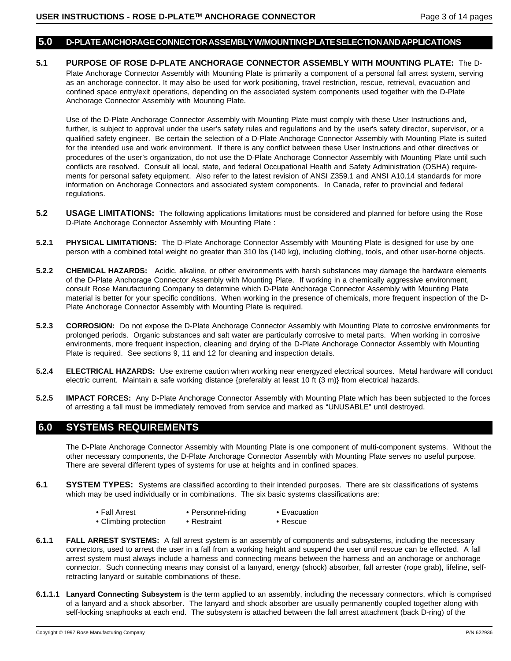#### **5.0 D-PLATE ANCHORAGE CONNECTOR ASSEMBLY W/MOUNTING PLATE SELECTION AND APPLICATIONS**

**5.1 PURPOSE OF ROSE D-PLATE ANCHORAGE CONNECTOR ASSEMBLY WITH MOUNTING PLATE:** The D-Plate Anchorage Connector Assembly with Mounting Plate is primarily a component of a personal fall arrest system, serving as an anchorage connector. It may also be used for work positioning, travel restriction, rescue, retrieval, evacuation and confined space entry/exit operations, depending on the associated system components used together with the D-Plate Anchorage Connector Assembly with Mounting Plate.

Use of the D-Plate Anchorage Connector Assembly with Mounting Plate must comply with these User Instructions and, further, is subject to approval under the user's safety rules and regulations and by the user's safety director, supervisor, or a qualified safety engineer. Be certain the selection of a D-Plate Anchorage Connector Assembly with Mounting Plate is suited for the intended use and work environment. If there is any conflict between these User Instructions and other directives or procedures of the user's organization, do not use the D-Plate Anchorage Connector Assembly with Mounting Plate until such conflicts are resolved. Consult all local, state, and federal Occupational Health and Safety Administration (OSHA) requirements for personal safety equipment. Also refer to the latest revision of ANSI Z359.1 and ANSI A10.14 standards for more information on Anchorage Connectors and associated system components. In Canada, refer to provincial and federal regulations.

- **5.2 USAGE LIMITATIONS:** The following applications limitations must be considered and planned for before using the Rose D-Plate Anchorage Connector Assembly with Mounting Plate :
- **5.2.1 PHYSICAL LIMITATIONS:** The D-Plate Anchorage Connector Assembly with Mounting Plate is designed for use by one person with a combined total weight no greater than 310 lbs (140 kg), including clothing, tools, and other user-borne objects.
- **5.2.2 CHEMICAL HAZARDS:** Acidic, alkaline, or other environments with harsh substances may damage the hardware elements of the D-Plate Anchorage Connector Assembly with Mounting Plate. If working in a chemically aggressive environment, consult Rose Manufacturing Company to determine which D-Plate Anchorage Connector Assembly with Mounting Plate material is better for your specific conditions. When working in the presence of chemicals, more frequent inspection of the D-Plate Anchorage Connector Assembly with Mounting Plate is required.
- **5.2.3 CORROSION:** Do not expose the D-Plate Anchorage Connector Assembly with Mounting Plate to corrosive environments for prolonged periods. Organic substances and salt water are particularly corrosive to metal parts. When working in corrosive environments, more frequent inspection, cleaning and drying of the D-Plate Anchorage Connector Assembly with Mounting Plate is required. See sections 9, 11 and 12 for cleaning and inspection details.
- **5.2.4 ELECTRICAL HAZARDS:** Use extreme caution when working near energyzed electrical sources. Metal hardware will conduct electric current. Maintain a safe working distance {preferably at least 10 ft (3 m)} from electrical hazards.
- **5.2.5 IMPACT FORCES:** Any D-Plate Anchorage Connector Assembly with Mounting Plate which has been subjected to the forces of arresting a fall must be immediately removed from service and marked as "UNUSABLE" until destroyed.

### **6.0 SYSTEMS REQUIREMENTS**

The D-Plate Anchorage Connector Assembly with Mounting Plate is one component of multi-component systems. Without the other necessary components, the D-Plate Anchorage Connector Assembly with Mounting Plate serves no useful purpose. There are several different types of systems for use at heights and in confined spaces.

- **6.1 SYSTEM TYPES:** Systems are classified according to their intended purposes. There are six classifications of systems which may be used individually or in combinations. The six basic systems classifications are:
	- Fall Arrest Personnel-riding Evacuation
	- Climbing protection Restraint Rescue
- 
- **6.1.1 FALL ARREST SYSTEMS:** A fall arrest system is an assembly of components and subsystems, including the necessary connectors, used to arrest the user in a fall from a working height and suspend the user until rescue can be effected. A fall arrest system must always include a harness and connecting means between the harness and an anchorage or anchorage connector. Such connecting means may consist of a lanyard, energy (shock) absorber, fall arrester (rope grab), lifeline, selfretracting lanyard or suitable combinations of these.
- **6.1.1.1 Lanyard Connecting Subsystem** is the term applied to an assembly, including the necessary connectors, which is comprised of a lanyard and a shock absorber. The lanyard and shock absorber are usually permanently coupled together along with self-locking snaphooks at each end. The subsystem is attached between the fall arrest attachment (back D-ring) of the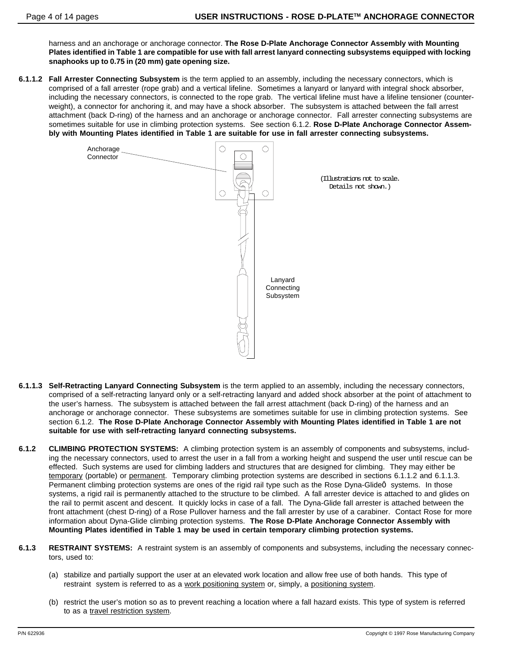harness and an anchorage or anchorage connector. **The Rose D-Plate Anchorage Connector Assembly with Mounting Plates identified in Table 1 are compatible for use with fall arrest lanyard connecting subsystems equipped with locking snaphooks up to 0.75 in (20 mm) gate opening size.**

**6.1.1.2 Fall Arrester Connecting Subsystem** is the term applied to an assembly, including the necessary connectors, which is comprised of a fall arrester (rope grab) and a vertical lifeline. Sometimes a lanyard or lanyard with integral shock absorber, including the necessary connectors, is connected to the rope grab. The vertical lifeline must have a lifeline tensioner (counterweight), a connector for anchoring it, and may have a shock absorber. The subsystem is attached between the fall arrest attachment (back D-ring) of the harness and an anchorage or anchorage connector. Fall arrester connecting subsystems are sometimes suitable for use in climbing protection systems. See section 6.1.2. **Rose D-Plate Anchorage Connector Assembly with Mounting Plates identified in Table 1 are suitable for use in fall arrester connecting subsystems.**



- **6.1.1.3 Self-Retracting Lanyard Connecting Subsystem** is the term applied to an assembly, including the necessary connectors, comprised of a self-retracting lanyard only or a self-retracting lanyard and added shock absorber at the point of attachment to the user's harness. The subsystem is attached between the fall arrest attachment (back D-ring) of the harness and an anchorage or anchorage connector. These subsystems are sometimes suitable for use in climbing protection systems. See section 6.1.2. **The Rose D-Plate Anchorage Connector Assembly with Mounting Plates identified in Table 1 are not suitable for use with self-retracting lanyard connecting subsystems.**
- **6.1.2 CLIMBING PROTECTION SYSTEMS:** A climbing protection system is an assembly of components and subsystems, including the necessary connectors, used to arrest the user in a fall from a working height and suspend the user until rescue can be effected. Such systems are used for climbing ladders and structures that are designed for climbing. They may either be temporary (portable) or permanent. Temporary climbing protection systems are described in sections 6.1.1.2 and 6.1.1.3. Permanent climbing protection systems are ones of the rigid rail type such as the Rose Dyna-Glideô systems. In those systems, a rigid rail is permanently attached to the structure to be climbed. A fall arrester device is attached to and glides on the rail to permit ascent and descent. It quickly locks in case of a fall. The Dyna-Glide fall arrester is attached between the front attachment (chest D-ring) of a Rose Pullover harness and the fall arrester by use of a carabiner. Contact Rose for more information about Dyna-Glide climbing protection systems. **The Rose D-Plate Anchorage Connector Assembly with Mounting Plates identified in Table 1 may be used in certain temporary climbing protection systems.**
- **6.1.3 RESTRAINT SYSTEMS:** A restraint system is an assembly of components and subsystems, including the necessary connectors, used to:
	- (a) stabilize and partially support the user at an elevated work location and allow free use of both hands. This type of restraint system is referred to as a work positioning system or, simply, a positioning system.
	- (b) restrict the user's motion so as to prevent reaching a location where a fall hazard exists. This type of system is referred to as a travel restriction system.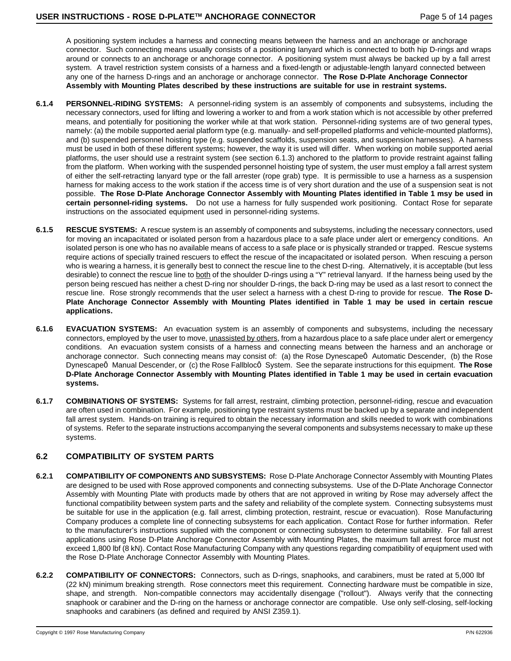A positioning system includes a harness and connecting means between the harness and an anchorage or anchorage connector. Such connecting means usually consists of a positioning lanyard which is connected to both hip D-rings and wraps around or connects to an anchorage or anchorage connector. A positioning system must always be backed up by a fall arrest system. A travel restriction system consists of a harness and a fixed-length or adjustable-length lanyard connected between any one of the harness D-rings and an anchorage or anchorage connector. **The Rose D-Plate Anchorage Connector Assembly with Mounting Plates described by these instructions are suitable for use in restraint systems.**

- **6.1.4 PERSONNEL-RIDING SYSTEMS:** A personnel-riding system is an assembly of components and subsystems, including the necessary connectors, used for lifting and lowering a worker to and from a work station which is not accessible by other preferred means, and potentially for positioning the worker while at that work station. Personnel-riding systems are of two general types, namely: (a) the mobile supported aerial platform type (e.g. manually- and self-propelled platforms and vehicle-mounted platforms), and (b) suspended personnel hoisting type (e.g. suspended scaffolds, suspension seats, and suspension harnesses). A harness must be used in both of these different systems; however, the way it is used will differ. When working on mobile supported aerial platforms, the user should use a restraint system (see section 6.1.3) anchored to the platform to provide restraint against falling from the platform. When working with the suspended personnel hoisting type of system, the user must employ a fall arrest system of either the self-retracting lanyard type or the fall arrester (rope grab) type. It is permissible to use a harness as a suspension harness for making access to the work station if the access time is of very short duration and the use of a suspension seat is not possible. **The Rose D-Plate Anchorage Connector Assembly with Mounting Plates identified in Table 1 msy be used in certain personnel-riding systems.** Do not use a harness for fully suspended work positioning. Contact Rose for separate instructions on the associated equipment used in personnel-riding systems.
- **6.1.5 RESCUE SYSTEMS:** A rescue system is an assembly of components and subsystems, including the necessary connectors, used for moving an incapacitated or isolated person from a hazardous place to a safe place under alert or emergency conditions. An isolated person is one who has no available means of access to a safe place or is physically stranded or trapped. Rescue systems require actions of specially trained rescuers to effect the rescue of the incapacitated or isolated person. When rescuing a person who is wearing a harness, it is generally best to connect the rescue line to the chest D-ring. Alternatively, it is acceptable (but less desirable) to connect the rescue line to both of the shoulder D-rings using a "Y" retrieval lanyard. If the harness being used by the person being rescued has neither a chest D-ring nor shoulder D-rings, the back D-ring may be used as a last resort to connect the rescue line. Rose strongly recommends that the user select a harness with a chest D-ring to provide for rescue. **The Rose D-Plate Anchorage Connector Assembly with Mounting Plates identified in Table 1 may be used in certain rescue applications.**
- **6.1.6 EVACUATION SYSTEMS:** An evacuation system is an assembly of components and subsystems, including the necessary connectors, employed by the user to move, unassisted by others, from a hazardous place to a safe place under alert or emergency conditions. An evacuation system consists of a harness and connecting means between the harness and an anchorage or anchorage connector. Such connecting means may consist of: (a) the Rose Dynescapeô Automatic Descender, (b) the Rose DynescapeÔ Manual Descender, or (c) the Rose FallblocÔ System. See the separate instructions for this equipment. **The Rose D-Plate Anchorage Connector Assembly with Mounting Plates identified in Table 1 may be used in certain evacuation systems.**
- **6.1.7 COMBINATIONS OF SYSTEMS:** Systems for fall arrest, restraint, climbing protection, personnel-riding, rescue and evacuation are often used in combination. For example, positioning type restraint systems must be backed up by a separate and independent fall arrest system. Hands-on training is required to obtain the necessary information and skills needed to work with combinations of systems. Refer to the separate instructions accompanying the several components and subsystems necessary to make up these systems.

#### **6.2 COMPATIBILITY OF SYSTEM PARTS**

- **6.2.1 COMPATIBILITY OF COMPONENTS AND SUBSYSTEMS:** Rose D-Plate Anchorage Connector Assembly with Mounting Plates are designed to be used with Rose approved components and connecting subsystems. Use of the D-Plate Anchorage Connector Assembly with Mounting Plate with products made by others that are not approved in writing by Rose may adversely affect the functional compatibility between system parts and the safety and reliability of the complete system. Connecting subsystems must be suitable for use in the application (e.g. fall arrest, climbing protection, restraint, rescue or evacuation). Rose Manufacturing Company produces a complete line of connecting subsystems for each application. Contact Rose for further information. Refer to the manufacturer's instructions supplied with the component or connecting subsystem to determine suitability. For fall arrest applications using Rose D-Plate Anchorage Connector Assembly with Mounting Plates, the maximum fall arrest force must not exceed 1,800 lbf (8 kN). Contact Rose Manufacturing Company with any questions regarding compatibility of equipment used with the Rose D-Plate Anchorage Connector Assembly with Mounting Plates.
- **6.2.2 COMPATIBILITY OF CONNECTORS:** Connectors, such as D-rings, snaphooks, and carabiners, must be rated at 5,000 lbf (22 kN) minimum breaking strength. Rose connectors meet this requirement. Connecting hardware must be compatible in size, shape, and strength. Non-compatible connectors may accidentally disengage ("rollout"). Always verify that the connecting snaphook or carabiner and the D-ring on the harness or anchorage connector are compatible. Use only self-closing, self-locking snaphooks and carabiners (as defined and required by ANSI Z359.1).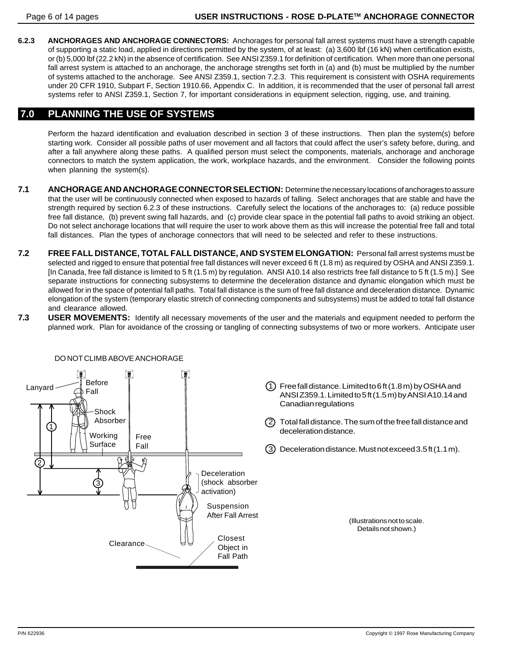**6.2.3 ANCHORAGES AND ANCHORAGE CONNECTORS:** Anchorages for personal fall arrest systems must have a strength capable of supporting a static load, applied in directions permitted by the system, of at least: (a) 3,600 lbf (16 kN) when certification exists, or (b) 5,000 lbf (22.2 kN) in the absence of certification. See ANSI Z359.1 for definition of certification. When more than one personal fall arrest system is attached to an anchorage, the anchorage strengths set forth in (a) and (b) must be multiplied by the number of systems attached to the anchorage. See ANSI Z359.1, section 7.2.3. This requirement is consistent with OSHA requirements under 20 CFR 1910, Subpart F, Section 1910.66, Appendix C. In addition, it is recommended that the user of personal fall arrest systems refer to ANSI Z359.1, Section 7, for important considerations in equipment selection, rigging, use, and training.

### **7.0 PLANNING THE USE OF SYSTEMS**

Perform the hazard identification and evaluation described in section 3 of these instructions. Then plan the system(s) before starting work. Consider all possible paths of user movement and all factors that could affect the user's safety before, during, and after a fall anywhere along these paths. A qualified person must select the components, materials, anchorage and anchorage connectors to match the system application, the work, workplace hazards, and the environment. Consider the following points when planning the system(s).

- **7.1 ANCHORAGE AND ANCHORAGE CONNECTOR SELECTION:** Determine the necessary locations of anchorages to assure that the user will be continuously connected when exposed to hazards of falling. Select anchorages that are stable and have the strength required by section 6.2.3 of these instructions. Carefully select the locations of the anchorages to: (a) reduce possible free fall distance, (b) prevent swing fall hazards, and (c) provide clear space in the potential fall paths to avoid striking an object. Do not select anchorage locations that will require the user to work above them as this will increase the potential free fall and total fall distances. Plan the types of anchorage connectors that will need to be selected and refer to these instructions.
- **7.2 FREE FALL DISTANCE, TOTAL FALL DISTANCE, AND SYSTEM ELONGATION:** Personal fall arrest systems must be selected and rigged to ensure that potential free fall distances will never exceed 6 ft (1.8 m) as required by OSHA and ANSI Z359.1. [In Canada, free fall distance is limited to 5 ft (1.5 m) by regulation. ANSI A10.14 also restricts free fall distance to 5 ft (1.5 m).] See separate instructions for connecting subsystems to determine the deceleration distance and dynamic elongation which must be allowed for in the space of potential fall paths. Total fall distance is the sum of free fall distance and deceleration distance. Dynamic elongation of the system (temporary elastic stretch of connecting components and subsystems) must be added to total fall distance and clearance allowed.
- **7.3 USER MOVEMENTS:** Identify all necessary movements of the user and the materials and equipment needed to perform the planned work. Plan for avoidance of the crossing or tangling of connecting subsystems of two or more workers. Anticipate user

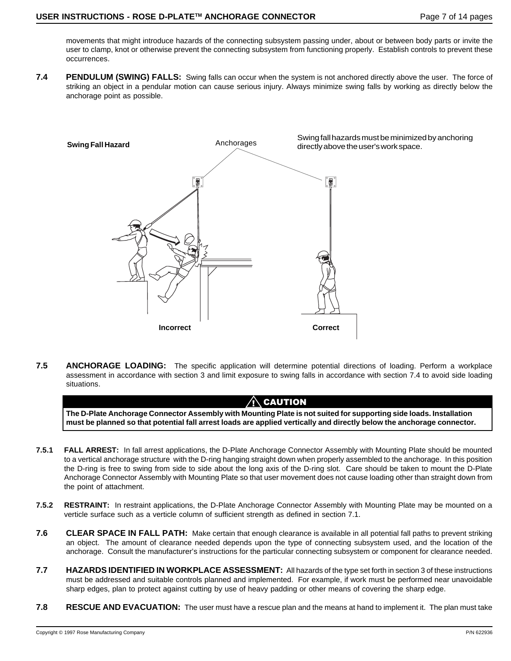movements that might introduce hazards of the connecting subsystem passing under, about or between body parts or invite the user to clamp, knot or otherwise prevent the connecting subsystem from functioning properly. Establish controls to prevent these occurrences.

**7.4 PENDULUM (SWING) FALLS:** Swing falls can occur when the system is not anchored directly above the user. The force of striking an object in a pendular motion can cause serious injury. Always minimize swing falls by working as directly below the anchorage point as possible.



**7.5 ANCHORAGE LOADING:** The specific application will determine potential directions of loading. Perform a workplace assessment in accordance with section 3 and limit exposure to swing falls in accordance with section 7.4 to avoid side loading situations.

#### $\bigwedge$  caution

**The D-Plate Anchorage Connector Assembly with Mounting Plate is not suited for supporting side loads. Installation must be planned so that potential fall arrest loads are applied vertically and directly below the anchorage connector.**

- **7.5.1 FALL ARREST:** In fall arrest applications, the D-Plate Anchorage Connector Assembly with Mounting Plate should be mounted to a vertical anchorage structure with the D-ring hanging straight down when properly assembled to the anchorage. In this position the D-ring is free to swing from side to side about the long axis of the D-ring slot. Care should be taken to mount the D-Plate Anchorage Connector Assembly with Mounting Plate so that user movement does not cause loading other than straight down from the point of attachment.
- **7.5.2 RESTRAINT:** In restraint applications, the D-Plate Anchorage Connector Assembly with Mounting Plate may be mounted on a verticle surface such as a verticle column of sufficient strength as defined in section 7.1.
- **7.6 CLEAR SPACE IN FALL PATH:** Make certain that enough clearance is available in all potential fall paths to prevent striking an object. The amount of clearance needed depends upon the type of connecting subsystem used, and the location of the anchorage. Consult the manufacturer's instructions for the particular connecting subsystem or component for clearance needed.
- **7.7 HAZARDS IDENTIFIED IN WORKPLACE ASSESSMENT:** All hazards of the type set forth in section 3 of these instructions must be addressed and suitable controls planned and implemented. For example, if work must be performed near unavoidable sharp edges, plan to protect against cutting by use of heavy padding or other means of covering the sharp edge.
- **7.8 RESCUE AND EVACUATION:** The user must have a rescue plan and the means at hand to implement it. The plan must take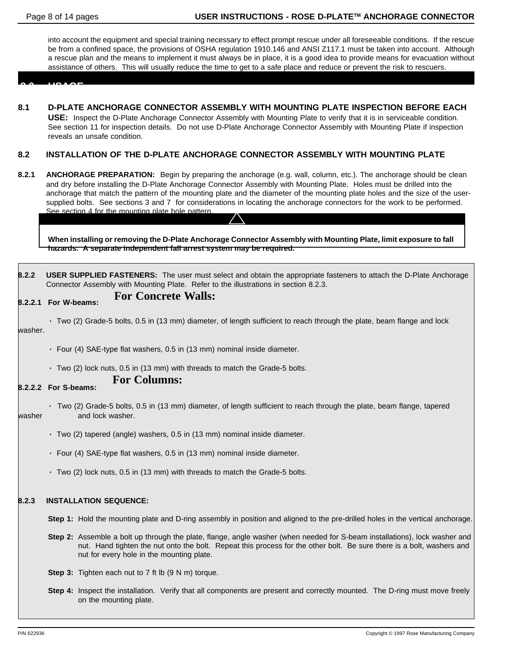into account the equipment and special training necessary to effect prompt rescue under all foreseeable conditions. If the rescue be from a confined space, the provisions of OSHA regulation 1910.146 and ANSI Z117.1 must be taken into account. Although a rescue plan and the means to implement it must always be in place, it is a good idea to provide means for evacuation without assistance of others. This will usually reduce the time to get to a safe place and reduce or prevent the risk to rescuers.

 **8.0 USAGE**

**8.1 D-PLATE ANCHORAGE CONNECTOR ASSEMBLY WITH MOUNTING PLATE INSPECTION BEFORE EACH USE:** Inspect the D-Plate Anchorage Connector Assembly with Mounting Plate to verify that it is in serviceable condition. See section 11 for inspection details. Do not use D-Plate Anchorage Connector Assembly with Mounting Plate if inspection reveals an unsafe condition.

#### **8.2 INSTALLATION OF THE D-PLATE ANCHORAGE CONNECTOR ASSEMBLY WITH MOUNTING PLATE**

**8.2.1 ANCHORAGE PREPARATION:** Begin by preparing the anchorage (e.g. wall, column, etc.). The anchorage should be clean and dry before installing the D-Plate Anchorage Connector Assembly with Mounting Plate. Holes must be drilled into the anchorage that match the pattern of the mounting plate and the diameter of the mounting plate holes and the size of the usersupplied bolts. See sections 3 and 7 for considerations in locating the anchorage connectors for the work to be performed. See section 4 for the mounting plate hole pattern.

**When installing or removing the D-Plate Anchorage Connector Assembly with Mounting Plate, limit exposure to fall hazards. A separate independent fall arrest system may be required.**

**8.2.2 USER SUPPLIED FASTENERS:** The user must select and obtain the appropriate fasteners to attach the D-Plate Anchorage Connector Assembly with Mounting Plate. Refer to the illustrations in section 8.2.3.

#### **8.2.2.1 For W-beams: For Concrete Walls:**

- · Two (2) Grade-5 bolts, 0.5 in (13 mm) diameter, of length sufficient to reach through the plate, beam flange and lock washer.
	- · Four (4) SAE-type flat washers, 0.5 in (13 mm) nominal inside diameter.
	- · Two (2) lock nuts, 0.5 in (13 mm) with threads to match the Grade-5 bolts.

### **For Columns:**

#### **8.2.2.2 For S-beams:**

- · Two (2) Grade-5 bolts, 0.5 in (13 mm) diameter, of length sufficient to reach through the plate, beam flange, tapered washer and lock washer.
	- · Two (2) tapered (angle) washers, 0.5 in (13 mm) nominal inside diameter.
	- · Four (4) SAE-type flat washers, 0.5 in (13 mm) nominal inside diameter.
	- · Two (2) lock nuts, 0.5 in (13 mm) with threads to match the Grade-5 bolts.

#### **8.2.3 INSTALLATION SEQUENCE:**

- **Step 1:** Hold the mounting plate and D-ring assembly in position and aligned to the pre-drilled holes in the vertical anchorage.
- **Step 2:** Assemble a bolt up through the plate, flange, angle washer (when needed for S-beam installations), lock washer and nut. Hand tighten the nut onto the bolt. Repeat this process for the other bolt. Be sure there is a bolt, washers and nut for every hole in the mounting plate.
- **Step 3:** Tighten each nut to 7 ft lb (9 N m) torque.
- **Step 4:** Inspect the installation. Verify that all components are present and correctly mounted. The D-ring must move freely on the mounting plate.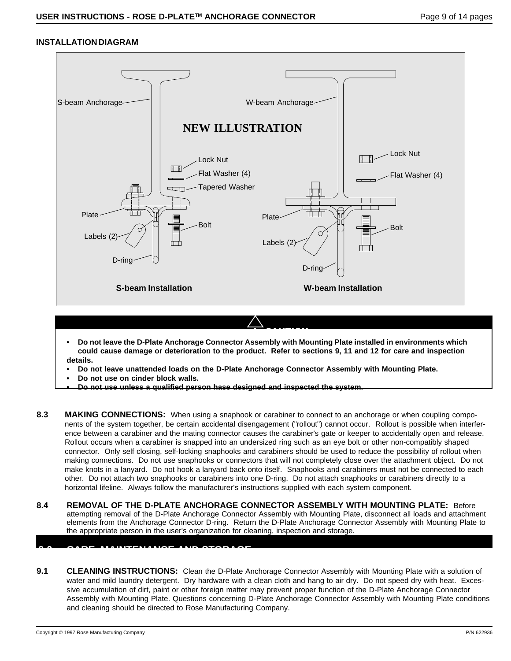#### **INSTALLATION DIAGRAM**



**• Do not leave the D-Plate Anchorage Connector Assembly with Mounting Plate installed in environments which could cause damage or deterioration to the product. Refer to sections 9, 11 and 12 for care and inspection details.**

! CAUTION

- **Do not leave unattended loads on the D-Plate Anchorage Connector Assembly with Mounting Plate.**
- **Do not use on cinder block walls.**

**9.0 CARE, MAINTENANCE AND STORAGE**

- **Do not use unless a qualified person hase designed and inspected the system.**
- **8.3 MAKING CONNECTIONS:** When using a snaphook or carabiner to connect to an anchorage or when coupling components of the system together, be certain accidental disengagement ("rollout") cannot occur. Rollout is possible when interference between a carabiner and the mating connector causes the carabiner's gate or keeper to accidentally open and release. Rollout occurs when a carabiner is snapped into an undersized ring such as an eye bolt or other non-compatibly shaped connector. Only self closing, self-locking snaphooks and carabiners should be used to reduce the possibility of rollout when making connections. Do not use snaphooks or connectors that will not completely close over the attachment object. Do not make knots in a lanyard. Do not hook a lanyard back onto itself. Snaphooks and carabiners must not be connected to each other. Do not attach two snaphooks or carabiners into one D-ring. Do not attach snaphooks or carabiners directly to a horizontal lifeline. Always follow the manufacturer's instructions supplied with each system component.
- **8.4 REMOVAL OF THE D-PLATE ANCHORAGE CONNECTOR ASSEMBLY WITH MOUNTING PLATE:** Before attempting removal of the D-Plate Anchorage Connector Assembly with Mounting Plate, disconnect all loads and attachment elements from the Anchorage Connector D-ring. Return the D-Plate Anchorage Connector Assembly with Mounting Plate to the appropriate person in the user's organization for cleaning, inspection and storage.
- **9.1 CLEANING INSTRUCTIONS:** Clean the D-Plate Anchorage Connector Assembly with Mounting Plate with a solution of water and mild laundry detergent. Dry hardware with a clean cloth and hang to air dry. Do not speed dry with heat. Excessive accumulation of dirt, paint or other foreign matter may prevent proper function of the D-Plate Anchorage Connector Assembly with Mounting Plate. Questions concerning D-Plate Anchorage Connector Assembly with Mounting Plate conditions and cleaning should be directed to Rose Manufacturing Company.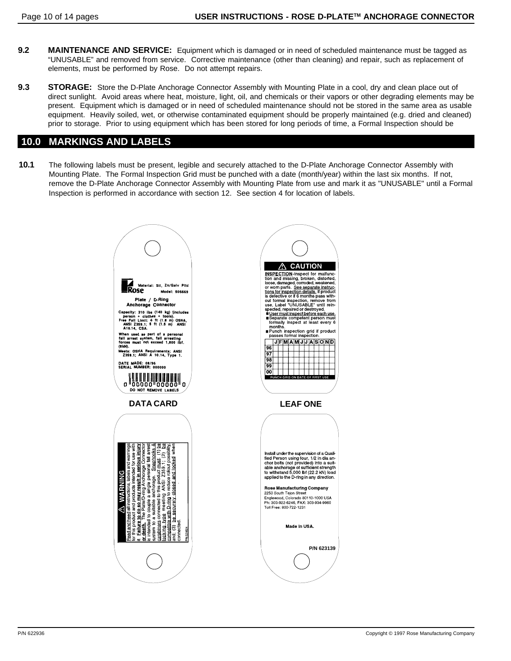- **9.2 MAINTENANCE AND SERVICE:** Equipment which is damaged or in need of scheduled maintenance must be tagged as "UNUSABLE" and removed from service. Corrective maintenance (other than cleaning) and repair, such as replacement of elements, must be performed by Rose. Do not attempt repairs.
- **9.3 STORAGE:** Store the D-Plate Anchorage Connector Assembly with Mounting Plate in a cool, dry and clean place out of direct sunlight. Avoid areas where heat, moisture, light, oil, and chemicals or their vapors or other degrading elements may be present. Equipment which is damaged or in need of scheduled maintenance should not be stored in the same area as usable equipment. Heavily soiled, wet, or otherwise contaminated equipment should be properly maintained (e.g. dried and cleaned) prior to storage. Prior to using equipment which has been stored for long periods of time, a Formal Inspection should be

### **10.0 MARKINGS AND LABELS**

**10.1** The following labels must be present, legible and securely attached to the D-Plate Anchorage Connector Assembly with Mounting Plate. The Formal Inspection Grid must be punched with a date (month/year) within the last six months. If not, remove the D-Plate Anchorage Connector Assembly with Mounting Plate from use and mark it as "UNUSABLE" until a Formal Inspection is performed in accordance with section 12. See section 4 for location of labels.

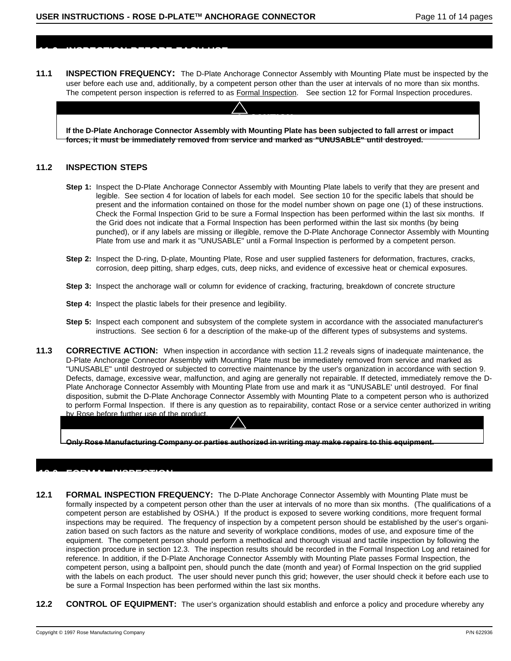**11.0 INSPECTION BEFORE EACH USE**

**11.1 INSPECTION FREQUENCY:** The D-Plate Anchorage Connector Assembly with Mounting Plate must be inspected by the user before each use and, additionally, by a competent person other than the user at intervals of no more than six months. The competent person inspection is referred to as Formal Inspection. See section 12 for Formal Inspection procedures.

! CAUTION

**If the D-Plate Anchorage Connector Assembly with Mounting Plate has been subjected to fall arrest or impact forces, it must be immediately removed from service and marked as "UNUSABLE" until destroyed.**

#### **11.2 INSPECTION STEPS**

- **Step 1:** Inspect the D-Plate Anchorage Connector Assembly with Mounting Plate labels to verify that they are present and legible. See section 4 for location of labels for each model. See section 10 for the specific labels that should be present and the information contained on those for the model number shown on page one (1) of these instructions. Check the Formal Inspection Grid to be sure a Formal Inspection has been performed within the last six months. If the Grid does not indicate that a Formal Inspection has been performed within the last six months (by being punched), or if any labels are missing or illegible, remove the D-Plate Anchorage Connector Assembly with Mounting Plate from use and mark it as "UNUSABLE" until a Formal Inspection is performed by a competent person.
- **Step 2:** Inspect the D-ring, D-plate, Mounting Plate, Rose and user supplied fasteners for deformation, fractures, cracks, corrosion, deep pitting, sharp edges, cuts, deep nicks, and evidence of excessive heat or chemical exposures.
- **Step 3:** Inspect the anchorage wall or column for evidence of cracking, fracturing, breakdown of concrete structure
- **Step 4:** Inspect the plastic labels for their presence and legibility.
- **Step 5:** Inspect each component and subsystem of the complete system in accordance with the associated manufacturer's instructions. See section 6 for a description of the make-up of the different types of subsystems and systems.
- **11.3** CORRECTIVE ACTION: When inspection in accordance with section 11.2 reveals signs of inadequate maintenance, the D-Plate Anchorage Connector Assembly with Mounting Plate must be immediately removed from service and marked as "UNUSABLE" until destroyed or subjected to corrective maintenance by the user's organization in accordance with section 9. Defects, damage, excessive wear, malfunction, and aging are generally not repairable. If detected, immediately remove the D-Plate Anchorage Connector Assembly with Mounting Plate from use and mark it as "UNUSABLE' until destroyed. For final disposition, submit the D-Plate Anchorage Connector Assembly with Mounting Plate to a competent person who is authorized to perform Formal Inspection. If there is any question as to repairability, contact Rose or a service center authorized in writing by Rose before further use of the product.

**Only Rose Manufacturing Company or parties authorized in writing may make repairs to this equipment.**

## **12.0 FORMAL INSPECTION**

- **12.1 FORMAL INSPECTION FREQUENCY:** The D-Plate Anchorage Connector Assembly with Mounting Plate must be formally inspected by a competent person other than the user at intervals of no more than six months. (The qualifications of a competent person are established by OSHA.) If the product is exposed to severe working conditions, more frequent formal inspections may be required. The frequency of inspection by a competent person should be established by the user's organization based on such factors as the nature and severity of workplace conditions, modes of use, and exposure time of the equipment. The competent person should perform a methodical and thorough visual and tactile inspection by following the inspection procedure in section 12.3. The inspection results should be recorded in the Formal Inspection Log and retained for reference. In addition, if the D-Plate Anchorage Connector Assembly with Mounting Plate passes Formal Inspection, the competent person, using a ballpoint pen, should punch the date (month and year) of Formal Inspection on the grid supplied with the labels on each product. The user should never punch this grid; however, the user should check it before each use to be sure a Formal Inspection has been performed within the last six months.
- **12.2 CONTROL OF EQUIPMENT:** The user's organization should establish and enforce a policy and procedure whereby any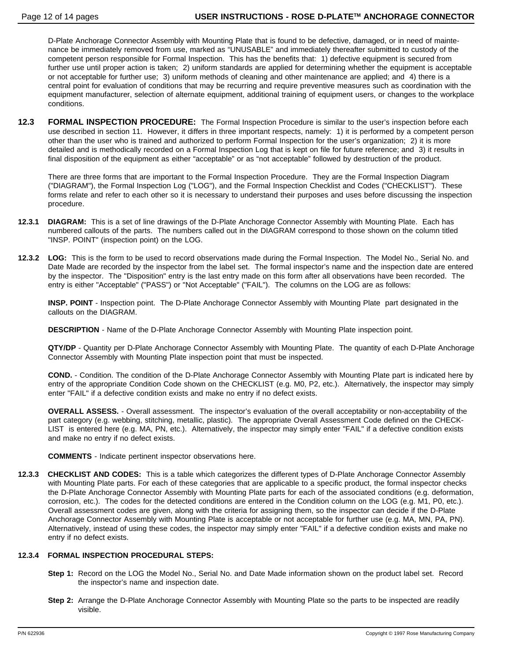D-Plate Anchorage Connector Assembly with Mounting Plate that is found to be defective, damaged, or in need of maintenance be immediately removed from use, marked as "UNUSABLE" and immediately thereafter submitted to custody of the competent person responsible for Formal Inspection. This has the benefits that: 1) defective equipment is secured from further use until proper action is taken; 2) uniform standards are applied for determining whether the equipment is acceptable or not acceptable for further use; 3) uniform methods of cleaning and other maintenance are applied; and 4) there is a central point for evaluation of conditions that may be recurring and require preventive measures such as coordination with the equipment manufacturer, selection of alternate equipment, additional training of equipment users, or changes to the workplace conditions.

**12.3 FORMAL INSPECTION PROCEDURE:** The Formal Inspection Procedure is similar to the user's inspection before each use described in section 11. However, it differs in three important respects, namely: 1) it is performed by a competent person other than the user who is trained and authorized to perform Formal Inspection for the user's organization; 2) it is more detailed and is methodically recorded on a Formal Inspection Log that is kept on file for future reference; and 3) it results in final disposition of the equipment as either "acceptable" or as "not acceptable" followed by destruction of the product.

There are three forms that are important to the Formal Inspection Procedure. They are the Formal Inspection Diagram ("DIAGRAM"), the Formal Inspection Log ("LOG"), and the Formal Inspection Checklist and Codes ("CHECKLIST"). These forms relate and refer to each other so it is necessary to understand their purposes and uses before discussing the inspection procedure.

- **12.3.1 DIAGRAM:** This is a set of line drawings of the D-Plate Anchorage Connector Assembly with Mounting Plate. Each has numbered callouts of the parts. The numbers called out in the DIAGRAM correspond to those shown on the column titled "INSP. POINT" (inspection point) on the LOG.
- **12.3.2 LOG:** This is the form to be used to record observations made during the Formal Inspection. The Model No., Serial No. and Date Made are recorded by the inspector from the label set. The formal inspector's name and the inspection date are entered by the inspector. The "Disposition" entry is the last entry made on this form after all observations have been recorded. The entry is either "Acceptable" ("PASS") or "Not Acceptable" ("FAIL"). The columns on the LOG are as follows:

**INSP. POINT** - Inspection point. The D-Plate Anchorage Connector Assembly with Mounting Plate part designated in the callouts on the DIAGRAM.

**DESCRIPTION** - Name of the D-Plate Anchorage Connector Assembly with Mounting Plate inspection point.

**QTY/DP** - Quantity per D-Plate Anchorage Connector Assembly with Mounting Plate. The quantity of each D-Plate Anchorage Connector Assembly with Mounting Plate inspection point that must be inspected.

**COND.** - Condition. The condition of the D-Plate Anchorage Connector Assembly with Mounting Plate part is indicated here by entry of the appropriate Condition Code shown on the CHECKLIST (e.g. M0, P2, etc.). Alternatively, the inspector may simply enter "FAIL" if a defective condition exists and make no entry if no defect exists.

**OVERALL ASSESS.** - Overall assessment. The inspector's evaluation of the overall acceptability or non-acceptability of the part category (e.g. webbing, stitching, metallic, plastic). The appropriate Overall Assessment Code defined on the CHECK-LIST is entered here (e.g. MA, PN, etc.). Alternatively, the inspector may simply enter "FAIL" if a defective condition exists and make no entry if no defect exists.

**COMMENTS** - Indicate pertinent inspector observations here.

**12.3.3 CHECKLIST AND CODES:** This is a table which categorizes the different types of D-Plate Anchorage Connector Assembly with Mounting Plate parts. For each of these categories that are applicable to a specific product, the formal inspector checks the D-Plate Anchorage Connector Assembly with Mounting Plate parts for each of the associated conditions (e.g. deformation, corrosion, etc.). The codes for the detected conditions are entered in the Condition column on the LOG (e.g. M1, P0, etc.). Overall assessment codes are given, along with the criteria for assigning them, so the inspector can decide if the D-Plate Anchorage Connector Assembly with Mounting Plate is acceptable or not acceptable for further use (e.g. MA, MN, PA, PN). Alternatively, instead of using these codes, the inspector may simply enter "FAIL" if a defective condition exists and make no entry if no defect exists.

#### **12.3.4 FORMAL INSPECTION PROCEDURAL STEPS:**

- **Step 1:** Record on the LOG the Model No., Serial No. and Date Made information shown on the product label set. Record the inspector's name and inspection date.
- **Step 2:** Arrange the D-Plate Anchorage Connector Assembly with Mounting Plate so the parts to be inspected are readily visible.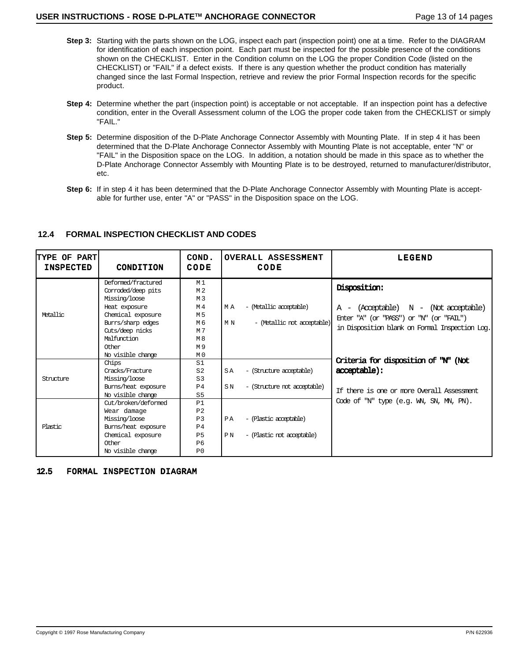- **Step 3:** Starting with the parts shown on the LOG, inspect each part (inspection point) one at a time. Refer to the DIAGRAM for identification of each inspection point. Each part must be inspected for the possible presence of the conditions shown on the CHECKLIST. Enter in the Condition column on the LOG the proper Condition Code (listed on the CHECKLIST) or "FAIL" if a defect exists. If there is any question whether the product condition has materially changed since the last Formal Inspection, retrieve and review the prior Formal Inspection records for the specific product.
- **Step 4:** Determine whether the part (inspection point) is acceptable or not acceptable. If an inspection point has a defective condition, enter in the Overall Assessment column of the LOG the proper code taken from the CHECKLIST or simply "FAIL."
- **Step 5:** Determine disposition of the D-Plate Anchorage Connector Assembly with Mounting Plate. If in step 4 it has been determined that the D-Plate Anchorage Connector Assembly with Mounting Plate is not acceptable, enter "N" or "FAIL" in the Disposition space on the LOG. In addition, a notation should be made in this space as to whether the D-Plate Anchorage Connector Assembly with Mounting Plate is to be destroyed, returned to manufacturer/distributor, etc.
- **Step 6:** If in step 4 it has been determined that the D-Plate Anchorage Connector Assembly with Mounting Plate is acceptable for further use, enter "A" or "PASS" in the Disposition space on the LOG.

| <b>TYPE OF PART</b><br><b>INSPECTED</b> | CONDITION                                                                                                                                                                            | COND.<br>CODE                                                                                      | OVERALL ASSESSMENT<br>CODE                                            | LEGEND                                                                                                                                                  |
|-----------------------------------------|--------------------------------------------------------------------------------------------------------------------------------------------------------------------------------------|----------------------------------------------------------------------------------------------------|-----------------------------------------------------------------------|---------------------------------------------------------------------------------------------------------------------------------------------------------|
| Metallic                                | Deformed/fractured<br>Corroded/deep pits<br>Missing/loose<br>Heat exposure<br>Chemical exposure<br>Burrs/sharp edges<br>Cuts/deep nicks<br>Malfunction<br>Other<br>No visible change | M 1<br>M 2<br>M <sub>3</sub><br>M 4<br>M 5<br>M 6<br>M 7<br>M <sub>8</sub><br>M9<br>M <sub>0</sub> | - (Metallic acceptable)<br>МA<br>- (Metallic not acceptable)<br>МN    | Disposition:<br>$A - (Acceptable)$ $N - (Not acceptable)$<br>Enter "A" (or "PASS") or "N" (or "FAIL")<br>in Disposition blank on Formal Inspection Log. |
| Structure                               | Chips<br>Cracks/Fracture<br>Missing/loose<br>Burns/heat exposure<br>No visible change                                                                                                | S1<br>S <sub>2</sub><br>S <sub>3</sub><br>P <sub>4</sub><br>S <sub>5</sub>                         | SA<br>- (Structure acceptable)<br>S N<br>- (Structure not acceptable) | Criteria for disposition of "N" (Not<br>acceptable):<br>If there is one or more Overall Assessment                                                      |
| <b>Plastic</b>                          | Cut/broken/deformed<br>Wear damage<br>Missing/loose<br>Burns/heat exposure<br>Chemical exposure<br>Other<br>No visible change                                                        | P1<br>P <sub>2</sub><br>P <sub>3</sub><br>P <sub>4</sub><br><b>P5</b><br>P6<br>P <sub>0</sub>      | PA<br>- (Plastic acceptable)<br>- (Plastic not acceptable)<br>ΡN      | Code of "N" type (e.g. WN, SN, MN, PN).                                                                                                                 |

#### **12.4 FORMAL INSPECTION CHECKLIST AND CODES**

#### 12.5 FORMAL INSPECTION DIAGRAM